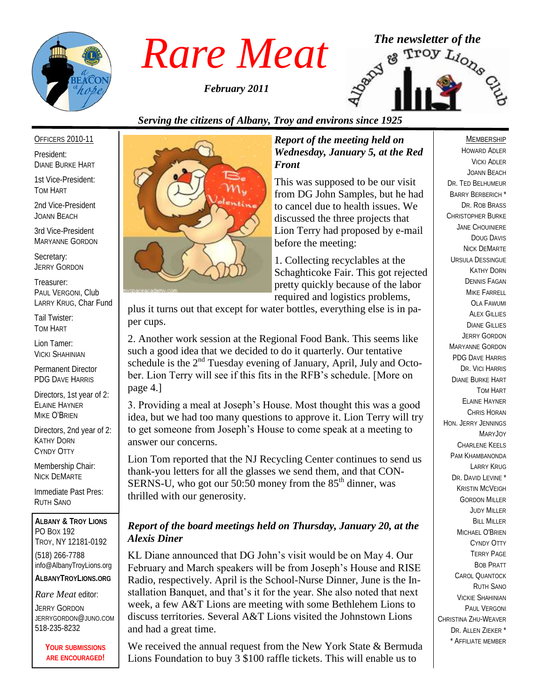

*February 2011*



### *Serving the citizens of Albany, Troy and environs since 1925*

### OFFICERS 2010-11

President: DIANE BURKE HART

1st Vice-President: TOM HART

2nd Vice-President JOANN BEACH

3rd Vice-President MARYANNE GORDON

Secretary: JERRY GORDON

Treasurer: PAUL VERGONI, Club LARRY KRUG, Char Fund

Tail Twister: TOM HART

Lion Tamer: VICKI SHAHINIAN

Permanent Director PDG DAVE HARRIS

Directors, 1st year of 2: ELAINE HAYNER MIKE O'BRIEN

Directors, 2nd year of 2: KATHY DORN CYNDY OTTY

Membership Chair: NICK DEMARTE

Immediate Past Pres: RUTH SANO

**ALBANY & TROY LIONS** PO BOX 192 TROY, NY 12181-0192 (518) 266-7788 info@AlbanyTroyLions.org **ALBANYTROYLIONS.ORG**

### *Rare Meat* editor:

JERRY GORDON JERRYGORDON@JUNO.COM 518-235-8232

> **YOUR SUBMISSIONS ARE ENCOURAGED!**



### *Report of the meeting held on Wednesday, January 5, at the Red Front*

This was supposed to be our visit from DG John Samples, but he had to cancel due to health issues. We discussed the three projects that Lion Terry had proposed by e-mail before the meeting:

1. Collecting recyclables at the Schaghticoke Fair. This got rejected pretty quickly because of the labor required and logistics problems,

plus it turns out that except for water bottles, everything else is in paper cups.

2. Another work session at the Regional Food Bank. This seems like such a good idea that we decided to do it quarterly. Our tentative schedule is the  $2<sup>nd</sup>$  Tuesday evening of January, April, July and October. Lion Terry will see if this fits in the RFB"s schedule. [More on page 4.]

3. Providing a meal at Joseph"s House. Most thought this was a good idea, but we had too many questions to approve it. Lion Terry will try to get someone from Joseph"s House to come speak at a meeting to answer our concerns.

Lion Tom reported that the NJ Recycling Center continues to send us thank-you letters for all the glasses we send them, and that CON-SERNS-U, who got our 50:50 money from the  $85<sup>th</sup>$  dinner, was thrilled with our generosity.

### *Report of the board meetings held on Thursday, January 20, at the Alexis Diner*

KL Diane announced that DG John"s visit would be on May 4. Our February and March speakers will be from Joseph"s House and RISE Radio, respectively. April is the School-Nurse Dinner, June is the Installation Banquet, and that"s it for the year. She also noted that next week, a few A&T Lions are meeting with some Bethlehem Lions to discuss territories. Several A&T Lions visited the Johnstown Lions and had a great time.

We received the annual request from the New York State & Bermuda Lions Foundation to buy 3 \$100 raffle tickets. This will enable us to

### MEMBERSHIP

HOWARD ADLER VICKI ADLER JOANN BEACH DR. TED BELHUMEUR BARRY BERBERICH \* DR. ROB BRASS CHRISTOPHER BURKE JANE CHOUINIERE DOUG DAVIS NICK DEMARTE URSULA DESSINGUE KATHY DORN DENNIS FAGAN MIKE FARRELL OLA FAWUMI **ALEX GILLIES** DIANE GILLIES JERRY GORDON MARYANNE GORDON PDG DAVE HARRIS DR. VICI HARRIS DIANE BURKE HART TOM HART ELAINE HAYNER CHRIS HORAN HON. JERRY JENNINGS MARYJOY CHARLENE KEELS PAM KHAMBANONDA LARRY KRUG DR. DAVID LEVINE<sup>\*</sup> KRISTIN MCVEIGH GORDON MILLER JUDY MILLER BILL MILLER MICHAEL O'BRIEN CYNDY OTTY TERRY PAGE BOB PRATT CAROL QUANTOCK RUTH SANO VICKIE SHAHINIAN PAUL VERGONI CHRISTINA ZHU-WEAVER DR. ALLEN ZIEKER \* \* AFFILIATE MEMBER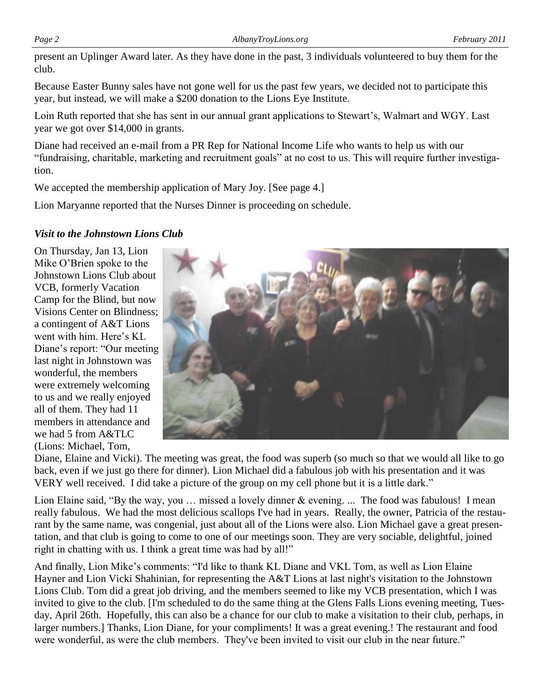present an Uplinger Award later. As they have done in the past, 3 individuals volunteered to buy them for the club.

Because Easter Bunny sales have not gone well for us the past few years, we decided not to participate this year, but instead, we will make a \$200 donation to the Lions Eye Institute.

Loin Ruth reported that she has sent in our annual grant applications to Stewart's, Walmart and WGY. Last year we got over \$14,000 in grants.

Diane had received an e-mail from a PR Rep for National Income Life who wants to help us with our "fundraising, charitable, marketing and recruitment goals" at no cost to us. This will require further investigation.

We accepted the membership application of Mary Joy. [See page 4.]

Lion Maryanne reported that the Nurses Dinner is proceeding on schedule.

### *Visit to the Johnstown Lions Club*

On Thursday, Jan 13, Lion Mike O"Brien spoke to the Johnstown Lions Club about VCB, formerly Vacation Camp for the Blind, but now Visions Center on Blindness; a contingent of A&T Lions went with him. Here's KL Diane"s report: "Our meeting last night in Johnstown was wonderful, the members were extremely welcoming to us and we really enjoyed all of them. They had 11 members in attendance and we had 5 from A&TLC (Lions: Michael, Tom,



Diane, Elaine and Vicki). The meeting was great, the food was superb (so much so that we would all like to go back, even if we just go there for dinner). Lion Michael did a fabulous job with his presentation and it was VERY well received. I did take a picture of the group on my cell phone but it is a little dark."

Lion Elaine said, "By the way, you … missed a lovely dinner & evening. ... The food was fabulous! I mean really fabulous. We had the most delicious scallops I've had in years. Really, the owner, Patricia of the restaurant by the same name, was congenial, just about all of the Lions were also. Lion Michael gave a great presentation, and that club is going to come to one of our meetings soon. They are very sociable, delightful, joined right in chatting with us. I think a great time was had by all!"

And finally, Lion Mike"s comments: "I'd like to thank KL Diane and VKL Tom, as well as Lion Elaine Hayner and Lion Vicki Shahinian, for representing the A&T Lions at last night's visitation to the Johnstown Lions Club. Tom did a great job driving, and the members seemed to like my VCB presentation, which I was invited to give to the club. [I'm scheduled to do the same thing at the Glens Falls Lions evening meeting, Tuesday, April 26th. Hopefully, this can also be a chance for our club to make a visitation to their club, perhaps, in larger numbers.] Thanks, Lion Diane, for your compliments! It was a great evening.! The restaurant and food were wonderful, as were the club members. They've been invited to visit our club in the near future."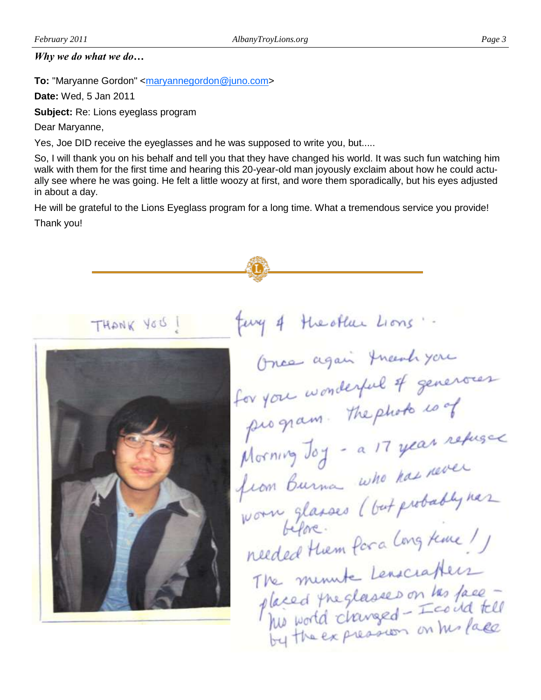### *Why we do what we do…*

**To:** "Maryanne Gordon" <**[maryannegordon@juno.com>](mailto:maryannegordon@juno.com)** 

**Date:** Wed, 5 Jan 2011

**Subject:** Re: Lions eyeglass program

Dear Maryanne,

Yes, Joe DID receive the eyeglasses and he was supposed to write you, but.....

So, I will thank you on his behalf and tell you that they have changed his world. It was such fun watching him walk with them for the first time and hearing this 20-year-old man joyously exclaim about how he could actually see where he was going. He felt a little woozy at first, and wore them sporadically, but his eyes adjusted in about a day.

He will be grateful to the Lions Eyeglass program for a long time. What a tremendous service you provide! Thank you!

fung of the other Lions. THANK YOU ! Once again thanh you for you wonderful of generous or you we. The photo is of program. Inefinition refused from Burna who has<br>worn glasses (but probably has helore.<br>needed them for a long time! The minute Lenacrathers The minute Lenaciation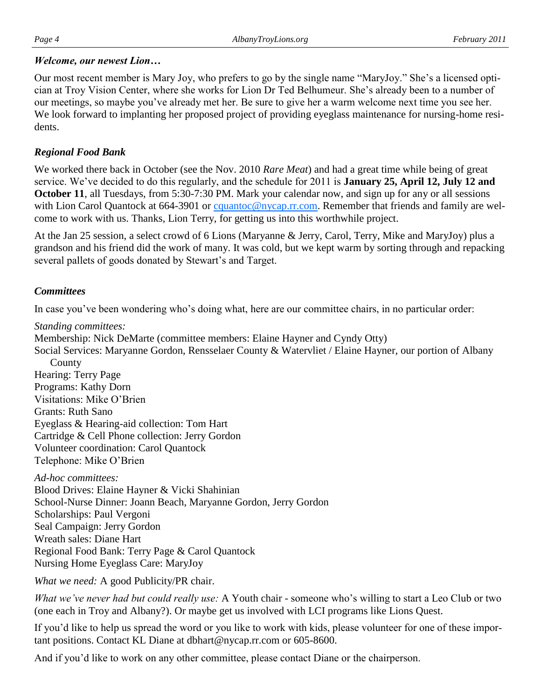### *Welcome, our newest Lion…*

Our most recent member is Mary Joy, who prefers to go by the single name "MaryJoy." She"s a licensed optician at Troy Vision Center, where she works for Lion Dr Ted Belhumeur. She"s already been to a number of our meetings, so maybe you"ve already met her. Be sure to give her a warm welcome next time you see her. We look forward to implanting her proposed project of providing eyeglass maintenance for nursing-home residents.

### *Regional Food Bank*

We worked there back in October (see the Nov. 2010 *Rare Meat*) and had a great time while being of great service. We've decided to do this regularly, and the schedule for 2011 is **January 25, April 12, July 12 and October 11**, all Tuesdays, from 5:30-7:30 PM. Mark your calendar now, and sign up for any or all sessions with Lion Carol Quantock at 664-3901 or [cquantoc@nycap.rr.com.](mailto:cquantoc@nycap.rr.com) Remember that friends and family are welcome to work with us. Thanks, Lion Terry, for getting us into this worthwhile project.

At the Jan 25 session, a select crowd of 6 Lions (Maryanne & Jerry, Carol, Terry, Mike and MaryJoy) plus a grandson and his friend did the work of many. It was cold, but we kept warm by sorting through and repacking several pallets of goods donated by Stewart's and Target.

### *Committees*

In case you"ve been wondering who"s doing what, here are our committee chairs, in no particular order:

*Standing committees:*

Membership: Nick DeMarte (committee members: Elaine Hayner and Cyndy Otty)

Social Services: Maryanne Gordon, Rensselaer County & Watervliet / Elaine Hayner, our portion of Albany County Hearing: Terry Page Programs: Kathy Dorn

Visitations: Mike O"Brien Grants: Ruth Sano

Eyeglass & Hearing-aid collection: Tom Hart

Cartridge & Cell Phone collection: Jerry Gordon

Volunteer coordination: Carol Quantock

Telephone: Mike O"Brien

*Ad-hoc committees:*

Blood Drives: Elaine Hayner & Vicki Shahinian School-Nurse Dinner: Joann Beach, Maryanne Gordon, Jerry Gordon Scholarships: Paul Vergoni Seal Campaign: Jerry Gordon Wreath sales: Diane Hart Regional Food Bank: Terry Page & Carol Quantock Nursing Home Eyeglass Care: MaryJoy

*What we need:* A good Publicity/PR chair.

*What we've never had but could really use:* A Youth chair - someone who"s willing to start a Leo Club or two (one each in Troy and Albany?). Or maybe get us involved with LCI programs like Lions Quest.

If you"d like to help us spread the word or you like to work with kids, please volunteer for one of these important positions. Contact KL Diane at dbhart@nycap.rr.com or 605-8600.

And if you"d like to work on any other committee, please contact Diane or the chairperson.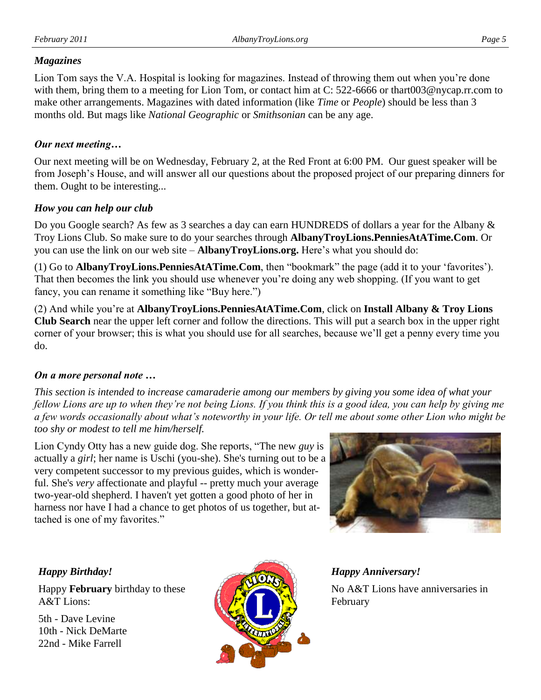### *Magazines*

Lion Tom says the V.A. Hospital is looking for magazines. Instead of throwing them out when you"re done with them, bring them to a meeting for Lion Tom, or contact him at C: 522-6666 or thart003@nycap.rr.com to make other arrangements. Magazines with dated information (like *Time* or *People*) should be less than 3 months old. But mags like *National Geographic* or *Smithsonian* can be any age.

### *Our next meeting…*

Our next meeting will be on Wednesday, February 2, at the Red Front at 6:00 PM. Our guest speaker will be from Joseph"s House, and will answer all our questions about the proposed project of our preparing dinners for them. Ought to be interesting...

### *How you can help our club*

Do you Google search? As few as 3 searches a day can earn HUNDREDS of dollars a year for the Albany & Troy Lions Club. So make sure to do your searches through **AlbanyTroyLions.PenniesAtATime.Com**. Or you can use the link on our web site – **AlbanyTroyLions.org.** Here's what you should do:

(1) Go to **AlbanyTroyLions.PenniesAtATime.Com**, then "bookmark" the page (add it to your "favorites"). That then becomes the link you should use whenever you"re doing any web shopping. (If you want to get fancy, you can rename it something like "Buy here.")

(2) And while you"re at **AlbanyTroyLions.PenniesAtATime.Com**, click on **Install Albany & Troy Lions Club Search** near the upper left corner and follow the directions. This will put a search box in the upper right corner of your browser; this is what you should use for all searches, because we"ll get a penny every time you do.

### *On a more personal note …*

*This section is intended to increase camaraderie among our members by giving you some idea of what your fellow Lions are up to when they're not being Lions. If you think this is a good idea, you can help by giving me a few words occasionally about what's noteworthy in your life. Or tell me about some other Lion who might be too shy or modest to tell me him/herself.*

Lion Cyndy Otty has a new guide dog. She reports, "The new *guy* is actually a *girl*; her name is Uschi (you-she). She's turning out to be a very competent successor to my previous guides, which is wonderful. She's *very* affectionate and playful -- pretty much your average two-year-old shepherd. I haven't yet gotten a good photo of her in harness nor have I had a chance to get photos of us together, but attached is one of my favorites."



### *Happy Birthday!*

Happy **February** birthday to these A&T Lions:

5th - Dave Levine 10th - Nick DeMarte 22nd - Mike Farrell



*Happy Anniversary!* No A&T Lions have anniversaries in February